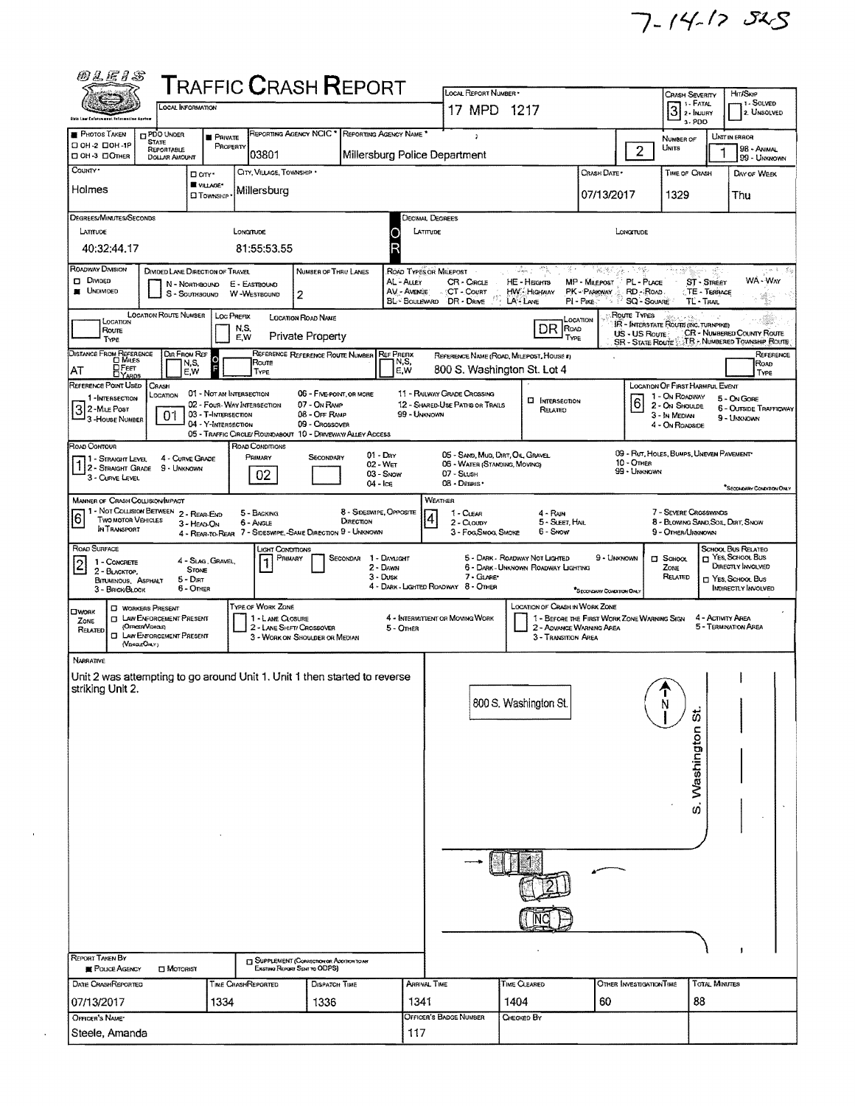$7 - 14 - 125$ 

| <i>10 L E 1 S</i>                                                                                              |                                                        |                    | <b>T</b> RAFFIC <b>C</b> RASH <b>R</b> EPORT                                   |                                            |                                              | LOCAL REPORT NUMBER *                                                                                                                       |                                          |                           |                                  |                                                             |                            |                                                                |  |  |
|----------------------------------------------------------------------------------------------------------------|--------------------------------------------------------|--------------------|--------------------------------------------------------------------------------|--------------------------------------------|----------------------------------------------|---------------------------------------------------------------------------------------------------------------------------------------------|------------------------------------------|---------------------------|----------------------------------|-------------------------------------------------------------|----------------------------|----------------------------------------------------------------|--|--|
|                                                                                                                | LOCAL INFORMATION                                      |                    |                                                                                |                                            |                                              | 17 MPD 1217                                                                                                                                 |                                          |                           |                                  | CRASH SEVERITY<br>$3$ :- FATAL $\overline{3}$               |                            | HIT/SKIP<br>1 - Solved                                         |  |  |
| <b>Ship Law Enforces</b>                                                                                       |                                                        |                    |                                                                                |                                            |                                              |                                                                                                                                             |                                          | 3-PDD                     |                                  | 2. UNSOLVED                                                 |                            |                                                                |  |  |
| <b>PHOTOS TAKEN</b><br><b>CI PDO UNDER</b><br><b>STATE</b><br>□ 0Н-2 □ 0Н-1Р<br>REPORTABLE                     | <b>PRIVATE</b>                                         | PROPERTY           | REPORTING AGENCY NCIC <sup>*</sup>                                             | REPORTING AGENCY NAME                      |                                              |                                                                                                                                             |                                          |                           | $\overline{2}$                   | NUMBER OF<br>Units                                          |                            | UNIT IN ERROR<br>98 - ANIMAL                                   |  |  |
| □ 0Н-3 □ Отнея<br>COUNTY*                                                                                      | <b>DOLLAR AMOUNT</b>                                   |                    | 03801                                                                          |                                            |                                              | Millersburg Police Department                                                                                                               |                                          |                           |                                  |                                                             |                            | 99 - UNKNOWN                                                   |  |  |
|                                                                                                                | D on *<br>VILLAGE*                                     |                    | CITY, VILLAGE, TOWNSHIP                                                        |                                            |                                              |                                                                                                                                             |                                          | CRASH DATE                |                                  | TIME OF CRASH                                               |                            | DAY OF WEEK                                                    |  |  |
| Holmes                                                                                                         | <b>EI TOWNSHIP</b>                                     |                    | Millersburg                                                                    |                                            |                                              |                                                                                                                                             |                                          | 07/13/2017                |                                  | 1329                                                        |                            | Thu                                                            |  |  |
| Degrees/Minutes/Seconds                                                                                        |                                                        |                    |                                                                                |                                            | <b>DECIMAL DEGREES</b>                       |                                                                                                                                             |                                          |                           |                                  |                                                             |                            |                                                                |  |  |
| LATITUDE                                                                                                       |                                                        | LONGTUDE           |                                                                                |                                            | LATITUDE                                     |                                                                                                                                             |                                          |                           | LONGITUDE                        |                                                             |                            |                                                                |  |  |
| 40:32:44.17                                                                                                    |                                                        |                    | 81:55:53.55                                                                    |                                            | R                                            |                                                                                                                                             |                                          |                           |                                  |                                                             |                            |                                                                |  |  |
| ROADWAY DIVISION<br>$\Box$ Divided                                                                             | DIVIDED LANE DIRECTION OF TRAVEL                       |                    |                                                                                | NUMBER OF THRU LANES                       | ROAD TYPES OR MILEPOST<br>AL - ALLEY         | CR - CIRCLE                                                                                                                                 | Salaja, p<br>-71,<br>Ķ.<br>HE - Hagms    | <b>MP</b> - MILEPOST      | - 성관의 등학 도착 합니<br>PL-PLACE       | nta alik                                                    | 요.<br><b>ST - STREET</b>   | WA - WAY                                                       |  |  |
| <b>NONDED</b>                                                                                                  | N - NorthBound<br>S - SOUTHBOUND W-WESTBOUND           | E - EASTBOUND      | 2                                                                              |                                            | AV - Avenue                                  | CT - Count<br>BL-BOULEVARD DR - DRIVE                                                                                                       | HW Highway<br>LA-LANE                    | PK - PARKWAY              | RD - ROAD.<br><b>SQ - SOUARE</b> |                                                             | TE - TERRACE               |                                                                |  |  |
|                                                                                                                | LOCATION ROUTE NUMBER   LOC PREFIX                     |                    | LOCATION ROAD NAME                                                             |                                            |                                              |                                                                                                                                             |                                          | PI - Pike                 | Route Types                      | TL-TRAIL                                                    |                            |                                                                |  |  |
| LOCATION<br>Route                                                                                              |                                                        | N.S.<br>E,W        | Private Property                                                               |                                            |                                              |                                                                                                                                             | DR ROAD<br>TYPE                          | LOCATION                  | US - US Roure?                   | IR - INTERSTATE ROUTE (INC. TURNPIKE)                       |                            | CR - NUMBERED COUNTY ROUTE                                     |  |  |
| TYPE                                                                                                           | <b>DIR FROM REF</b>                                    |                    | REFERENCE REFERENCE ROUTE NUMBER                                               |                                            | <b>REF PREFIX</b>                            |                                                                                                                                             | REFERENCE NAME (ROAD, MILEPOST, HOUSE #) |                           |                                  |                                                             |                            | SR - STATE ROUTE : T.R. - NUMBERED TOWNSHIP ROUTE<br>REFERENCE |  |  |
| DISTANCE FROM REFERENCE<br><b>DFEET</b><br>DYAROS<br>AT                                                        | $\circ$<br>N,S,<br>E,W                                 |                    | Route<br>TYPE                                                                  |                                            | N,S,<br>E.W                                  |                                                                                                                                             | 800 S. Washington St. Lot 4              |                           |                                  |                                                             |                            | ROAD<br>TYPE                                                   |  |  |
| REFERENCE POINT USED<br>CRASH                                                                                  |                                                        |                    |                                                                                | 06 - FIVE-POINT, OR MORE                   |                                              |                                                                                                                                             |                                          |                           |                                  | LOCATION OF FIRST HARMFUL EVENT                             |                            |                                                                |  |  |
| LOCATION<br>1 - INTERSECTION                                                                                   | 01 - NOT AN INTERSECTION<br>02 - Four-Way Intersection |                    | 07 - On RAMP                                                                   |                                            |                                              | 11 - RAILWAY GRADE CROSSING<br>12 - SHARED-USE PATHS OR TRAILS                                                                              | <b>CI INTERSECTION</b><br>RELATED        |                           | 16                               | 1 - On ROADWAY<br>2 - On Shoupe                             |                            | 5 - On Gore<br><b>6 - OUTSIDE TRAFFICWAY</b>                   |  |  |
| 3 2-MILE POST<br>3-HOUSE NUMBER<br>0 <sup>1</sup>                                                              | 03 - T-INTERSECTION<br>04 - Y-INTERSECTION             |                    | 08 - Off RAMP<br>09 - CROSSOVER                                                |                                            | 99 - UNKNOWN                                 |                                                                                                                                             |                                          |                           |                                  | 3 - In Median<br>4 - On ROADSIDE                            |                            | 9 - UNKNOWN                                                    |  |  |
| ROAD CONTOUR                                                                                                   |                                                        |                    | 05 - TRAFFIC CIRCLE/ ROUNDABOUT 10 - DRIVEWAY/ ALLEY ACCESS<br>ROAD CONDITIONS |                                            |                                              |                                                                                                                                             |                                          |                           |                                  |                                                             |                            |                                                                |  |  |
| 71 - Straight Level<br>1 2 - STRAIGHT GRADE 9 - UNKNOWN                                                        | 4 - CURVE GRADE                                        |                    | PRIMARY                                                                        | $01 - \text{Dar}$<br>SECONDARY<br>02 - Wer |                                              | 05 - SAND, MUD, DIRT, OIL GRAVEL<br>06 - WATER (STANDING, MOVING)                                                                           |                                          |                           | 10 - OTHER                       | 09 - RUT, HOLES, BUMPS, UNEVEN PAVEMENT                     |                            |                                                                |  |  |
| 3 - CURVE LEVEL                                                                                                |                                                        |                    | 02                                                                             | 03 - SNOW<br>04 - Ice                      |                                              | 07 - SLUSH<br>08 - DEBRIS *                                                                                                                 |                                          |                           | 99 - Unanown                     |                                                             |                            |                                                                |  |  |
| <b>MANNER OF CRASH COLLISION/IMPACT</b>                                                                        |                                                        |                    |                                                                                |                                            |                                              | WEATHER                                                                                                                                     |                                          |                           |                                  |                                                             |                            | SECONDARY CONDITION ONLY                                       |  |  |
| 1 - Not Collision Between 2 - Rear-End<br>6<br><b>TWO MOTOR VEHICLES</b>                                       |                                                        |                    | 5 - BACKING<br>6 - Angle                                                       | 8 - SIDESWIPE, OPPOSITE<br>DIRECTION       | $\overline{4}$                               | 1 - CLEAR<br>2 - CLOUDY                                                                                                                     | 4 - RAIN<br>5 - SLEET, HAIL              |                           |                                  | 7 - SEVERE CROSSWINDS<br>8 - BLOWING SAND, SOIL, DIRT, SNOW |                            |                                                                |  |  |
| IN TRANSPORT                                                                                                   | 3 - HEAD ON                                            |                    | 4 - REAR-TO-REAR 7 - SIDESWIPE, -SAME DIRECTION 9 - UNKNOWN                    |                                            |                                              | 3 - Fog.Smog. Smoke                                                                                                                         | 6 - Snow                                 |                           |                                  | 9 - OTHER/UNKNOWN                                           |                            |                                                                |  |  |
| ROAD SURFACE                                                                                                   |                                                        |                    | <b>LIGHT CONDITIONS</b><br>PRIMARY                                             | SECONDAR                                   | 1 - DAYLIGHT                                 |                                                                                                                                             | 5 - DARK - ROADWAY NOT LIGHTED           | 9 - UNKNOWN               |                                  | C SCHOOL                                                    |                            | SCHOOL BUS RELATED<br>T YES, SCHOOL BUS                        |  |  |
| 1 - CONCRETE<br> 2<br>2 - BLACKTOP,                                                                            | 4 - Slag, Gravel.<br><b>STONE</b>                      |                    |                                                                                | 2 - DAWN<br>$3 - D$ USK                    |                                              | 7 - GLARE                                                                                                                                   | 6 - DARK - UNKNOWN ROADWAY LIGHTING      |                           |                                  | ZONE<br>RELATED                                             |                            | DIRECTLY INVOLVED<br>T YES, SCHOOL Bus                         |  |  |
| BITUMINOUS, ASPHALT<br>3 - BRICK/BLOCK                                                                         | 5 - DIRT<br>6 - Other                                  |                    |                                                                                |                                            |                                              | 4 - DARK - LIGHTED ROADWAY 8 - OTHER                                                                                                        |                                          | *SECONDARY CONDITION ONLY |                                  |                                                             | <b>INDIRECTLY INVOLVED</b> |                                                                |  |  |
| <b>C WORKERS PRESENT</b><br>OWORK                                                                              |                                                        |                    | <b>TYPE OF WORK ZONE</b>                                                       |                                            |                                              |                                                                                                                                             | <b>LOCATION OF CRASH IN WORK ZONE</b>    |                           |                                  |                                                             |                            |                                                                |  |  |
| <b>CT LAW ENFORCEMENT PRESENT</b><br>ZONE<br>(OFFICER VEHICLE)<br>RELATED<br><b>CI LAW ENFORCEMENT PRESENT</b> |                                                        |                    | 1 - LANE CLOSURE<br>2 - LANE SHIFT/ CROSSOVER                                  |                                            | 4 - INTERMITTENT OR MOVING WORK<br>5 - OTHER | 1 - BEFORE THE FIRST WORK ZONE WARNING SIGN<br>4 - ACTIVITY AREA<br>2 - ADVANCE WARNING AREA<br>5 - TERMINATION AREA<br>3 - TRANSITION AREA |                                          |                           |                                  |                                                             |                            |                                                                |  |  |
| (VENCLEONLY)                                                                                                   |                                                        |                    | 3 - WORK ON SHOULDER OR MEDIAN                                                 |                                            |                                              |                                                                                                                                             |                                          |                           |                                  |                                                             |                            |                                                                |  |  |
| NARRATIVE                                                                                                      |                                                        |                    |                                                                                |                                            |                                              |                                                                                                                                             |                                          |                           |                                  |                                                             |                            |                                                                |  |  |
| Unit 2 was attempting to go around Unit 1. Unit 1 then started to reverse<br>striking Unit 2.                  |                                                        |                    |                                                                                |                                            |                                              |                                                                                                                                             |                                          |                           |                                  |                                                             |                            |                                                                |  |  |
|                                                                                                                |                                                        |                    |                                                                                |                                            |                                              |                                                                                                                                             | 800 S. Washington St.                    |                           |                                  | N                                                           |                            |                                                                |  |  |
|                                                                                                                |                                                        |                    |                                                                                |                                            |                                              |                                                                                                                                             |                                          |                           |                                  | 5                                                           |                            |                                                                |  |  |
|                                                                                                                |                                                        |                    |                                                                                |                                            |                                              |                                                                                                                                             |                                          |                           |                                  |                                                             |                            |                                                                |  |  |
|                                                                                                                |                                                        |                    |                                                                                |                                            |                                              |                                                                                                                                             |                                          |                           |                                  |                                                             |                            |                                                                |  |  |
|                                                                                                                |                                                        |                    |                                                                                |                                            |                                              |                                                                                                                                             |                                          |                           |                                  | Washington                                                  |                            |                                                                |  |  |
|                                                                                                                |                                                        |                    |                                                                                |                                            |                                              |                                                                                                                                             |                                          |                           |                                  |                                                             |                            |                                                                |  |  |
|                                                                                                                |                                                        |                    |                                                                                |                                            |                                              |                                                                                                                                             |                                          |                           |                                  | U)                                                          |                            |                                                                |  |  |
|                                                                                                                |                                                        |                    |                                                                                |                                            |                                              |                                                                                                                                             |                                          |                           |                                  |                                                             |                            |                                                                |  |  |
|                                                                                                                |                                                        |                    |                                                                                |                                            |                                              |                                                                                                                                             |                                          |                           |                                  |                                                             |                            |                                                                |  |  |
|                                                                                                                |                                                        |                    |                                                                                |                                            |                                              |                                                                                                                                             |                                          |                           |                                  |                                                             |                            |                                                                |  |  |
|                                                                                                                |                                                        |                    |                                                                                |                                            |                                              |                                                                                                                                             |                                          |                           |                                  |                                                             |                            |                                                                |  |  |
|                                                                                                                |                                                        |                    |                                                                                |                                            |                                              |                                                                                                                                             |                                          |                           |                                  |                                                             |                            |                                                                |  |  |
|                                                                                                                |                                                        |                    |                                                                                |                                            |                                              |                                                                                                                                             |                                          |                           |                                  |                                                             |                            |                                                                |  |  |
|                                                                                                                |                                                        |                    |                                                                                |                                            |                                              |                                                                                                                                             |                                          |                           |                                  |                                                             |                            |                                                                |  |  |
| <b>REPORT TAKEN BY</b>                                                                                         |                                                        |                    | <b>T SUPPLEMENT (CORRECTION OR ADDITION TO AN</b>                              |                                            |                                              |                                                                                                                                             |                                          |                           |                                  |                                                             |                            |                                                                |  |  |
| <b>FOLICE AGENCY</b>                                                                                           | <b>DI MOTORIST</b>                                     |                    | Examina Reparer Sent to ODPS)                                                  |                                            |                                              |                                                                                                                                             |                                          |                           |                                  |                                                             |                            |                                                                |  |  |
| DATE CRASHREPORTED                                                                                             |                                                        | TIME CRASHREPORTED |                                                                                | DISPATCH TIME                              | ARRIVAL TIME                                 |                                                                                                                                             | TIME CLEARED                             |                           | OTHER INVESTIGATION TIME         |                                                             | TOTAL MINUTES              |                                                                |  |  |
| 07/13/2017<br>OFFICER'S NAME*                                                                                  | 1334                                                   |                    |                                                                                | 1336                                       | 1341                                         | OFFICER'S BADGE NUMBER                                                                                                                      | 1404<br>CHECKED BY                       | 60                        |                                  | 88                                                          |                            |                                                                |  |  |
| Steele, Amanda                                                                                                 |                                                        |                    |                                                                                |                                            | 117                                          |                                                                                                                                             |                                          |                           |                                  |                                                             |                            |                                                                |  |  |
|                                                                                                                |                                                        |                    |                                                                                |                                            |                                              |                                                                                                                                             |                                          |                           |                                  |                                                             |                            |                                                                |  |  |

 $\bar{\mathcal{A}}$ 

 $\sim$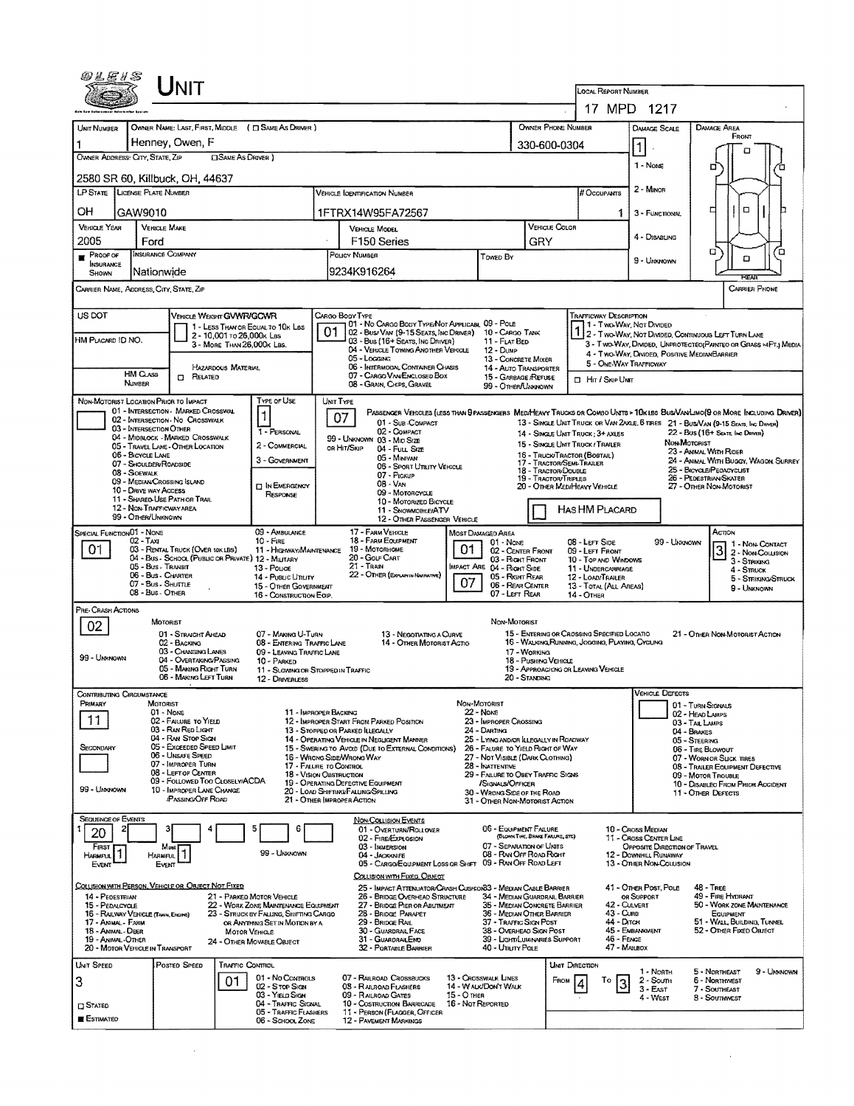| 00 L E 1 S                                                                                                                                                                                                                                                                                                                                      |                                                      | INIT                                                                                    |                            |                                                                          |                                                                                                       |                                                                                              |                                                                                           |                                  |                                                                                                   |                                  |                                                   |                                                                                                |                                                       |                                    |                                                            |                                                                                                                             |  |  |
|-------------------------------------------------------------------------------------------------------------------------------------------------------------------------------------------------------------------------------------------------------------------------------------------------------------------------------------------------|------------------------------------------------------|-----------------------------------------------------------------------------------------|----------------------------|--------------------------------------------------------------------------|-------------------------------------------------------------------------------------------------------|----------------------------------------------------------------------------------------------|-------------------------------------------------------------------------------------------|----------------------------------|---------------------------------------------------------------------------------------------------|----------------------------------|---------------------------------------------------|------------------------------------------------------------------------------------------------|-------------------------------------------------------|------------------------------------|------------------------------------------------------------|-----------------------------------------------------------------------------------------------------------------------------|--|--|
|                                                                                                                                                                                                                                                                                                                                                 |                                                      |                                                                                         |                            |                                                                          |                                                                                                       |                                                                                              |                                                                                           |                                  |                                                                                                   |                                  |                                                   | LOCAL REPORT NUMBER<br>17 MPD 1217                                                             |                                                       |                                    |                                                            |                                                                                                                             |  |  |
|                                                                                                                                                                                                                                                                                                                                                 |                                                      |                                                                                         |                            |                                                                          |                                                                                                       |                                                                                              |                                                                                           |                                  |                                                                                                   |                                  |                                                   |                                                                                                |                                                       |                                    |                                                            |                                                                                                                             |  |  |
| UNIT NUMBER                                                                                                                                                                                                                                                                                                                                     | OWNER NAME: LAST, FIRST, MIDDLE ( C SAME AS DRIVER ) |                                                                                         |                            |                                                                          |                                                                                                       |                                                                                              |                                                                                           |                                  |                                                                                                   |                                  |                                                   | OWNER PHONE NUMBER                                                                             | <b>DAMAGE SCALE</b>                                   |                                    | DAMAGE AREA<br>FRONT                                       |                                                                                                                             |  |  |
|                                                                                                                                                                                                                                                                                                                                                 | Henney, Owen, F                                      |                                                                                         |                            |                                                                          |                                                                                                       |                                                                                              |                                                                                           |                                  |                                                                                                   |                                  |                                                   | 330-600-0304                                                                                   | $\vert$ 1                                             |                                    | п                                                          |                                                                                                                             |  |  |
| OWNER ADDRESS: CITY, STATE, ZIP<br><b>CISAME AS DRIVER</b> )                                                                                                                                                                                                                                                                                    |                                                      |                                                                                         |                            |                                                                          |                                                                                                       |                                                                                              |                                                                                           |                                  |                                                                                                   |                                  |                                                   |                                                                                                | 1 - None                                              | o                                  |                                                            |                                                                                                                             |  |  |
| 2580 SR 60, Killbuck, OH, 44637                                                                                                                                                                                                                                                                                                                 |                                                      |                                                                                         |                            |                                                                          |                                                                                                       |                                                                                              |                                                                                           |                                  |                                                                                                   |                                  |                                                   |                                                                                                |                                                       |                                    |                                                            |                                                                                                                             |  |  |
| LP STATE LICENSE PLATE NUMBER<br><b>VEHICLE IOENTIFICATION NUMBER</b>                                                                                                                                                                                                                                                                           |                                                      |                                                                                         |                            |                                                                          |                                                                                                       |                                                                                              |                                                                                           |                                  |                                                                                                   |                                  |                                                   | # Occupants                                                                                    | 2 - MINOR                                             |                                    |                                                            |                                                                                                                             |  |  |
| OН                                                                                                                                                                                                                                                                                                                                              | GAW9010                                              |                                                                                         |                            |                                                                          |                                                                                                       | 1FTRX14W95FA72567                                                                            |                                                                                           |                                  |                                                                                                   |                                  |                                                   | 1.                                                                                             | 3 - FUNCTIONAL                                        |                                    | α<br>□                                                     |                                                                                                                             |  |  |
| <b>VEHICLE YEAR</b>                                                                                                                                                                                                                                                                                                                             | <b>VEHICLE MAKE</b>                                  |                                                                                         |                            |                                                                          | VEHICLE COLOR<br>VEHICLE MODEL                                                                        |                                                                                              |                                                                                           |                                  |                                                                                                   |                                  |                                                   | 4 - DISABLING                                                                                  |                                                       |                                    |                                                            |                                                                                                                             |  |  |
| 2005                                                                                                                                                                                                                                                                                                                                            | Ford<br>INSURANCE COMPANY                            |                                                                                         |                            |                                                                          |                                                                                                       | F <sub>150</sub> Series                                                                      |                                                                                           |                                  |                                                                                                   | GRY                              |                                                   |                                                                                                |                                                       |                                    | α                                                          | ο                                                                                                                           |  |  |
| <b>PROOF OF</b><br><b>INSURANCE</b>                                                                                                                                                                                                                                                                                                             |                                                      |                                                                                         |                            |                                                                          |                                                                                                       | POLICY NUMBER                                                                                |                                                                                           |                                  | Towed By                                                                                          |                                  |                                                   |                                                                                                | 9 - Ummown                                            |                                    | о                                                          |                                                                                                                             |  |  |
| SHOWN                                                                                                                                                                                                                                                                                                                                           | Nationwide                                           |                                                                                         |                            |                                                                          |                                                                                                       | 9234K916264                                                                                  |                                                                                           |                                  |                                                                                                   |                                  |                                                   |                                                                                                |                                                       |                                    |                                                            | <b>FEAR</b>                                                                                                                 |  |  |
| <b>CARRIER PHONE</b><br>CARRIER NAME, ADDRESS, CITY, STATE, ZIP                                                                                                                                                                                                                                                                                 |                                                      |                                                                                         |                            |                                                                          |                                                                                                       |                                                                                              |                                                                                           |                                  |                                                                                                   |                                  |                                                   |                                                                                                |                                                       |                                    |                                                            |                                                                                                                             |  |  |
| US DOT<br>VEHICLE WEIGHT GVWR/GCWR<br>CARGO BODY TYPE<br><b>TRAFFICWAY DESCRIPTION</b><br>01 - No CARGO BODY TYPE/NOT APPLICABL 09 - POLE                                                                                                                                                                                                       |                                                      |                                                                                         |                            |                                                                          |                                                                                                       |                                                                                              |                                                                                           |                                  |                                                                                                   |                                  |                                                   |                                                                                                |                                                       |                                    |                                                            |                                                                                                                             |  |  |
|                                                                                                                                                                                                                                                                                                                                                 |                                                      |                                                                                         | 2 - 10,001 то 26,000к Las  | 1 - LESS THAN OR EQUAL TO 10K LBS                                        |                                                                                                       | 02 - Bus/VAN (9-15 SEATS, INC DRIVER) 10 - CARGO TANK                                        |                                                                                           |                                  |                                                                                                   |                                  |                                                   | 1 - Two-Way, Not Divideo                                                                       |                                                       |                                    | <b>12 - TWO-WAY, NOT DIMOED, CONTINUOUS LEFT TURN LANE</b> |                                                                                                                             |  |  |
| HM PLACARD ID NO.                                                                                                                                                                                                                                                                                                                               |                                                      |                                                                                         | 3 - MORE THAN 26,000K LBS. |                                                                          |                                                                                                       | 03 - Bus (16+ Seats, Inc Driver)<br>04 - VEHICLE TOWING ANOTHER VEHICLE                      |                                                                                           |                                  | 11 - FLAT BED<br>12 - Dump                                                                        |                                  |                                                   |                                                                                                |                                                       |                                    | 4 - Two-Way, Divided, Positive Median Barrier              | 3 - T WO-WAY, DIMDED, UNPROTECTEO(PAINTED OR GRASS >4FT.) MEDIA                                                             |  |  |
|                                                                                                                                                                                                                                                                                                                                                 |                                                      |                                                                                         | HAZARDOUS MATERIAL         |                                                                          |                                                                                                       | 05 - Logging<br>06 - INTERMODAL CONTAINER CHASIS                                             |                                                                                           |                                  | 13 - CONCRETE MIXER<br>14 - AUTO TRANSPORTER                                                      |                                  |                                                   | 5 - ONE-WAY TRAFFICWAY                                                                         |                                                       |                                    |                                                            |                                                                                                                             |  |  |
|                                                                                                                                                                                                                                                                                                                                                 | <b>HM CLASS</b><br>NUMBER                            | <b>IT RELATED</b>                                                                       |                            |                                                                          | 07 - CARGO VAN/ENCLOSED BOX<br>15 - GARBAGE /REFUSE<br>08 - GRAIN, CHIPS, GRAVEL<br>99 - OTHER/UNNOWN |                                                                                              |                                                                                           |                                  |                                                                                                   |                                  | <b>D</b> Hr / Skip UNIT                           |                                                                                                |                                                       |                                    |                                                            |                                                                                                                             |  |  |
| NON-MOTORIST LOCATION PRIOR TO IMPACT                                                                                                                                                                                                                                                                                                           |                                                      |                                                                                         |                            | TYPE OF USE                                                              |                                                                                                       | UNIT TYPE                                                                                    |                                                                                           |                                  |                                                                                                   |                                  |                                                   |                                                                                                |                                                       |                                    |                                                            |                                                                                                                             |  |  |
|                                                                                                                                                                                                                                                                                                                                                 |                                                      | 01 - INTERSECTION - MARKED CROSSWAL                                                     |                            | $\mathbf{1}$                                                             |                                                                                                       | 07                                                                                           |                                                                                           |                                  |                                                                                                   |                                  |                                                   |                                                                                                |                                                       |                                    |                                                            | PASSENGER VERICLES (LESS THAN PPASSENGERS MEDIMEANY TRUCKS DR COMBO UNITS > 10KLBS BUS/VAN/LIMO(9 OR MORE INCLUDING DRIVER) |  |  |
| 02 - INTERSECTION - NO CROSSWALK<br>01 - Sub-Compact<br>13 - SINGLE UNIT TRUCK OR VAN 2AXLE, 6 TIRES 21 - BUS/VAN (9-15 SEATS, INC DRIVER)<br>03 - INTERSECTION OTHER<br>02 - COMPACT<br>1 - PERSONAL<br>22 - Bus (16+ Seats, Inc Driver)<br>14 - SINGLE UNIT TRUCK: 3+ AXLES<br>04 - MIDBLOCK - MARKED CROSSWALK<br>99 - UNKNOWN 03 - MID SIZE |                                                      |                                                                                         |                            |                                                                          |                                                                                                       |                                                                                              |                                                                                           |                                  |                                                                                                   |                                  |                                                   |                                                                                                |                                                       |                                    |                                                            |                                                                                                                             |  |  |
|                                                                                                                                                                                                                                                                                                                                                 |                                                      | 05 - TRAVEL LANE - OTHER LOCATION                                                       |                            | 2 - COMMERCIAL                                                           |                                                                                                       | OR HIT/SKIP                                                                                  | 04 - Fuu, Size                                                                            |                                  |                                                                                                   |                                  |                                                   | 15 - SINGLE UNIT TRUCK / TRAILER<br>16 - TRUCK/TRACTOR (BOSTAIL)                               | NON-MOTORIST<br>23 - ANIMAL WITH RIDER                |                                    |                                                            |                                                                                                                             |  |  |
| 06 - BICYCLE LANE<br>05 - Minivan<br>3 - GOVERNMENT<br>07 - SHOULDER/ROADSIDE<br>06 - SPORT UTILITY VEHICLE<br>08 - SIOEWALK                                                                                                                                                                                                                    |                                                      |                                                                                         |                            |                                                                          |                                                                                                       |                                                                                              |                                                                                           |                                  |                                                                                                   |                                  | 17 - TRACTOR/SEMI-TRAILER<br>18 - TRACTOR/DOUBLE  |                                                                                                |                                                       |                                    | 25 - BICYCLE/PEOACYCLIST                                   | 24 - ANIMAL WITH BUGGY, WAGON SURREY                                                                                        |  |  |
| 07 - Pickup<br>19 - TRACTOR/TRIPLES<br>09 - MEDIAN CROSSING ISLAND<br>08 - VAN<br><b>D IN EMERGENCY</b><br>20 - OTHER MEDIMEAVY VEHICLE                                                                                                                                                                                                         |                                                      |                                                                                         |                            |                                                                          |                                                                                                       |                                                                                              |                                                                                           |                                  |                                                                                                   |                                  | 26 - PEDESTRIAN SKATER<br>27 - OTHER NON-MOTORIST |                                                                                                |                                                       |                                    |                                                            |                                                                                                                             |  |  |
| 10 - DRIVE WAY ACCESS<br>09 - MOTORCYCLE<br>RESPONSE<br>11 - SHARED-USE PATH OR TRAIL<br>10 - MOTORIZED BICYCLE                                                                                                                                                                                                                                 |                                                      |                                                                                         |                            |                                                                          |                                                                                                       |                                                                                              |                                                                                           |                                  |                                                                                                   |                                  |                                                   |                                                                                                |                                                       |                                    |                                                            |                                                                                                                             |  |  |
| 12 - NON-TRAFFICWAY AREA<br>HAS HM PLACARD<br>11 - SNOWMOBILE/ATV<br>99 - OTHER/UNKNOWN<br>12 - OTHER PASSENGER VEHICLE                                                                                                                                                                                                                         |                                                      |                                                                                         |                            |                                                                          |                                                                                                       |                                                                                              |                                                                                           |                                  |                                                                                                   |                                  |                                                   |                                                                                                |                                                       |                                    |                                                            |                                                                                                                             |  |  |
| 17 - FARM VEHICLE<br>SPECIAL FUNCTION 01 - NONE<br>09 - AMBULANCE<br>Астом<br>Most Damaged Area<br>18 - FARM EQUIPMENT<br>02 - TAXI<br>$10 -$ Fire<br>99 - UNKNOWN                                                                                                                                                                              |                                                      |                                                                                         |                            |                                                                          |                                                                                                       |                                                                                              |                                                                                           |                                  |                                                                                                   |                                  |                                                   |                                                                                                |                                                       |                                    |                                                            |                                                                                                                             |  |  |
| 01                                                                                                                                                                                                                                                                                                                                              |                                                      | 03 - RENTAL TRUCK (OVER 10K LBS)<br>04 - Bus - School (Public or Private) 12 - Military |                            | 11 - HIGHWAY/MAINTENANCE                                                 |                                                                                                       | $01$ Nove<br>19 - Мотовноме<br>01<br>02 - CENTER FRONT<br>20 - GOLF CART<br>03 - Right Front |                                                                                           |                                  |                                                                                                   |                                  |                                                   | 08 - LEFT SIDE<br>09 - LEFT FRONT                                                              |                                                       |                                    | 3                                                          | 1 - NON-CONTACT<br>2 - NON-COLLISION                                                                                        |  |  |
|                                                                                                                                                                                                                                                                                                                                                 | 05 - Bus - Transit                                   |                                                                                         |                            | 13 - Pouce                                                               |                                                                                                       | 21 - TRAIN                                                                                   |                                                                                           |                                  | MPACT ARE 04 - RIGHT SIDE                                                                         |                                  |                                                   | 10 - TOP AND WINDOWS<br>11 - UNDERCARRIAGE                                                     |                                                       |                                    |                                                            | 3 - Striking<br>4 - Struck                                                                                                  |  |  |
| 22 - OTHER (EXPLAN IN NARRATIVE)<br>06 - Bus - CHARTER<br>14 - PuBLIC UTILITY<br>07 - Bus - SHUTTLE<br>15 - OTHER GOVERNMENT<br>08 - Bus - OTHER                                                                                                                                                                                                |                                                      |                                                                                         |                            |                                                                          |                                                                                                       |                                                                                              |                                                                                           | 07                               | 05 - RIGHT REAR<br>12 - LOAD/TRAILER<br>06 - REAR CENTER<br>13 - TOTAL (ALL AREAS)<br>9 - Unknown |                                  |                                                   |                                                                                                |                                                       |                                    |                                                            | 5 - Striking/Struck                                                                                                         |  |  |
|                                                                                                                                                                                                                                                                                                                                                 |                                                      |                                                                                         |                            | 16 - CONSTRUCTION EOUP.                                                  |                                                                                                       |                                                                                              |                                                                                           |                                  | 07 - LEFT REAR                                                                                    |                                  |                                                   | 14 - Отнев                                                                                     |                                                       |                                    |                                                            |                                                                                                                             |  |  |
| PRE-CRASH ACTIONS                                                                                                                                                                                                                                                                                                                               | MOTORIST                                             |                                                                                         |                            |                                                                          |                                                                                                       |                                                                                              |                                                                                           |                                  | Non-Motorist                                                                                      |                                  |                                                   |                                                                                                |                                                       |                                    |                                                            |                                                                                                                             |  |  |
| 02                                                                                                                                                                                                                                                                                                                                              |                                                      | 01 - STRAIGHT AHEAD<br>02 - BACKING                                                     |                            | 07 - MAKING U-TURN                                                       |                                                                                                       |                                                                                              | 13 - NEGOTIATING A CURVE<br>14 - OTHER MOTORIST ACTIO                                     |                                  |                                                                                                   |                                  |                                                   | 15 - ENTERING OR CROSSING SPECIFIED LOCATIO<br>16 - Walking Running, Josging, Playing, Cycling |                                                       |                                    | 21 - OTHER NON-MOTORIST ACTION                             |                                                                                                                             |  |  |
| 99 - UNKNOWN                                                                                                                                                                                                                                                                                                                                    |                                                      | 03 - CHANGING LANES                                                                     |                            | 08 - ENTERING TRAFFIC LANE<br>09 - LEAVING TRAFFIC LANE                  |                                                                                                       |                                                                                              |                                                                                           |                                  |                                                                                                   | 17 - WORKING                     |                                                   |                                                                                                |                                                       |                                    |                                                            |                                                                                                                             |  |  |
|                                                                                                                                                                                                                                                                                                                                                 |                                                      | 04 - OVERTAKING/PASSING<br>05 - MAKING RIGHT TURN                                       |                            | 10 - PARKED<br>11 - SLOWING OR STOPPED IN TRAFFIC                        |                                                                                                       |                                                                                              |                                                                                           |                                  |                                                                                                   | 18 - PUSHING VEHICLE             |                                                   | 19 - APPROACHING OR LEAVING VEHICLE                                                            |                                                       |                                    |                                                            |                                                                                                                             |  |  |
|                                                                                                                                                                                                                                                                                                                                                 |                                                      | 06 - MAKING LEFT TURN                                                                   |                            | 12 - DRIVERLESS                                                          |                                                                                                       |                                                                                              |                                                                                           |                                  |                                                                                                   | 20 - Standing                    |                                                   |                                                                                                | <b>VEHICLE DEFECTS</b>                                |                                    |                                                            |                                                                                                                             |  |  |
| CONTRIBUTING CIRCUMSTANCE<br>Primary                                                                                                                                                                                                                                                                                                            | MOTORIST                                             |                                                                                         |                            |                                                                          |                                                                                                       |                                                                                              |                                                                                           | NON-MOTORIST                     |                                                                                                   |                                  |                                                   |                                                                                                |                                                       |                                    | 01 - TURN SIGNALS                                          |                                                                                                                             |  |  |
| 11                                                                                                                                                                                                                                                                                                                                              | $01 - None$                                          | 02 - FAILURE TO YIELD                                                                   |                            | 11 - IMPROPER BACKING                                                    |                                                                                                       | $22 -$ None<br>23 - IMPROPER CROSSING<br>12 - IMPROPER START FROM PARKED POSITION            |                                                                                           |                                  |                                                                                                   |                                  |                                                   |                                                                                                |                                                       | 02 - HEAD LAMPS<br>03 - TAIL LAMPS |                                                            |                                                                                                                             |  |  |
|                                                                                                                                                                                                                                                                                                                                                 |                                                      | 03 - RAN RED LIGHT<br>04 - RAN STOP SIGN                                                |                            |                                                                          |                                                                                                       | 13 - STOPPED OR PARKED ILLEGALLY<br>14 - OPERATING VEHICLE IN NEGLIGENT MANNER               |                                                                                           |                                  | 24 - DARTING<br>25 - LYING AND/OR LLEGALLY IN ROADWAY                                             |                                  |                                                   |                                                                                                |                                                       | 04 - BRAKES<br>05 - STEERING       |                                                            |                                                                                                                             |  |  |
| SECONDARY                                                                                                                                                                                                                                                                                                                                       |                                                      | 05 - Exceeded Speed LIMIT<br>06 - UNSAFE SPEED                                          |                            |                                                                          |                                                                                                       | 15 - SWERING TO AVOID (DUE TO EXTERNAL CONDITIONS)<br>16 - WRONG SIDE/WRONG WAY              |                                                                                           |                                  | 26 - FALURE TO YIELD RIGHT OF WAY<br>27 - NOT VISIBLE (DARK CLOTHING)                             |                                  |                                                   |                                                                                                |                                                       |                                    | 06 - TIRE BLOWOUT<br>07 - WORN OR SLICK TIRES              |                                                                                                                             |  |  |
|                                                                                                                                                                                                                                                                                                                                                 |                                                      | 07 - IMPROPER TURN<br>08 - LEFT OF CENTER                                               |                            | 17 - FALURE TO CONTROL<br>18 - VISION OBSTRUCTION                        |                                                                                                       |                                                                                              |                                                                                           |                                  | 28 - INATTENTIVE<br>29 - FAILURE TO OBEY TRAFFIC SIGNS                                            |                                  |                                                   | 08 - TRAILER EQUIPMENT DEFECTIVE<br>09 - MOTOR TROUBLE                                         |                                                       |                                    |                                                            |                                                                                                                             |  |  |
| 99 - UNKNOWN                                                                                                                                                                                                                                                                                                                                    |                                                      | 09 - FOLLOWED TOO CLOSELY/ACDA<br>10 - IMPROPER LANE CHANGE                             |                            |                                                                          |                                                                                                       | 19 - OPERATING DEFECTIVE EQUIPMENT<br>20 - LOAD SHIFTING/FALLING/SPILLING                    |                                                                                           |                                  | /SIGNALS/OFFICER<br>30 - WRONG SIDE OF THE ROAD                                                   |                                  |                                                   |                                                                                                | 10 - DISABLEO FROM PRIOR ACCIDENT                     |                                    |                                                            |                                                                                                                             |  |  |
|                                                                                                                                                                                                                                                                                                                                                 |                                                      | <b>PASSING OFF ROAD</b>                                                                 |                            |                                                                          |                                                                                                       | 21 - Отнев Імрворев Астіон                                                                   |                                                                                           |                                  | 31 - OTHER NON-MOTORIST ACTION                                                                    |                                  |                                                   |                                                                                                |                                                       |                                    | 11 - OTHER DEFECTS                                         |                                                                                                                             |  |  |
| <b>SEQUENCE OF EVENTS</b>                                                                                                                                                                                                                                                                                                                       |                                                      |                                                                                         |                            |                                                                          |                                                                                                       | <b>NON-COLLISION EVENTS</b>                                                                  |                                                                                           |                                  |                                                                                                   |                                  |                                                   |                                                                                                |                                                       |                                    |                                                            |                                                                                                                             |  |  |
| 20                                                                                                                                                                                                                                                                                                                                              |                                                      |                                                                                         |                            |                                                                          |                                                                                                       | 02 - FIRE/EXPLOSION                                                                          | 01 - Overturn/ROLLOVER                                                                    |                                  | 06 - EQUIPMENT FAILURE                                                                            | (BLOWN TIRE, BRAKE FAILURE, ETC) |                                                   |                                                                                                | 10 - Cross Median<br>11 - Cross Center Line           |                                    |                                                            |                                                                                                                             |  |  |
| Finst<br>Harmful                                                                                                                                                                                                                                                                                                                                | <b>HARMFUL</b>                                       | Most                                                                                    |                            | 99 - Unknown                                                             |                                                                                                       | 03 - IMMERSION<br>04 - JACKKNIFE                                                             |                                                                                           |                                  | 07 - SEPARATION OF UNITS<br>08 - RAN OFF ROAD RIGHT                                               |                                  |                                                   |                                                                                                | OPPOSITE DIRECTION OF TRAVEL<br>12 - DOWNHILL RUNAWAY |                                    |                                                            |                                                                                                                             |  |  |
| EVENT                                                                                                                                                                                                                                                                                                                                           | Event                                                |                                                                                         |                            |                                                                          |                                                                                                       |                                                                                              | 05 - CARGO/EQUIPMENT LOSS OR SHIFT 09 - RAN OFF ROAD LEFT<br>COLLISION WITH FIXED, OBJECT |                                  |                                                                                                   |                                  |                                                   |                                                                                                | 13 - OTHER NON-COLLISION                              |                                    |                                                            |                                                                                                                             |  |  |
| COLLISION WITH PERSON, VEHICLE OR OBJECT NOT FIXED                                                                                                                                                                                                                                                                                              |                                                      |                                                                                         |                            |                                                                          |                                                                                                       |                                                                                              | 25 - Impact Attenuator/Crash Cushoor33 - Median Cable Barrier                             |                                  |                                                                                                   |                                  |                                                   |                                                                                                | 41 - Other Post, Pole                                 |                                    | 48 - TREE                                                  |                                                                                                                             |  |  |
| 14 - PEDESTRIAN<br>15 - PEDALCYCLE                                                                                                                                                                                                                                                                                                              |                                                      |                                                                                         |                            | 21 - PARKED MOTOR VEHICLE<br>22 - WORK ZONE MAINTENANCE EQUIPMENT        |                                                                                                       |                                                                                              | 26 - BRIDGE OVERHEAD STRUCTURE<br>27 - BRIDGE PIER OR ABUTMENT                            |                                  | 34 - MEDIAN GUARDRAIL BARRIER<br>35 - Median Concrete Barrier                                     |                                  |                                                   |                                                                                                | OR SUPPORT<br>42 - Culvert                            |                                    | 49 - FIRE HYDRANT<br>50 - WORK ZONE MAINTENANCE            |                                                                                                                             |  |  |
| 16 - RAILWAY VEHICLE (TANN, ENGINE)<br>17 - Annal - Farm                                                                                                                                                                                                                                                                                        |                                                      |                                                                                         |                            | 23 - STRUCK BY FALLING, SKIFTING CARGO<br>OR ANYTHING SET IN MOTION BY A |                                                                                                       | 28 - BRIDGE PARAPET<br>29 - BRIDGE RAIL                                                      |                                                                                           |                                  | 36 - MEDIAN OTHER BARRIER<br>37 - TRAFFIC SIGN POST                                               |                                  |                                                   | 43 - Curb<br>44 - Олтон                                                                        |                                                       |                                    | EQUIPMENT<br>51 - WALL, BUILDING, TUNNEL                   |                                                                                                                             |  |  |
| 38 - OVERHEAD SIGN POST<br>45 - Embankment<br>18 - Animal - Deer<br>30 - GUARDRAIL FACE<br><b>MOTOR VEHICLE</b><br>46 - FENCE<br>19 - Animal - Other<br>31 - GUARDRAILEND<br>39 - LIGHT/LUMINARIES SUPPORT<br>24 - OTHER MOVABLE OBJECT                                                                                                         |                                                      |                                                                                         |                            |                                                                          |                                                                                                       |                                                                                              |                                                                                           |                                  |                                                                                                   | 52 - OTHER FIXED OBJECT          |                                                   |                                                                                                |                                                       |                                    |                                                            |                                                                                                                             |  |  |
| 20 - MOTOR VEHICLE IN TRANSPORT                                                                                                                                                                                                                                                                                                                 |                                                      |                                                                                         |                            |                                                                          |                                                                                                       | 32 - PORTABLE BARRIER                                                                        |                                                                                           |                                  | 40 - UTIUTY POLE                                                                                  |                                  |                                                   |                                                                                                | 47 - MAILBOX                                          |                                    |                                                            |                                                                                                                             |  |  |
| <b>UNIT SPEED</b>                                                                                                                                                                                                                                                                                                                               |                                                      | Posted Speed                                                                            | <b>TRAFFIC CONTROL</b>     |                                                                          |                                                                                                       |                                                                                              |                                                                                           |                                  |                                                                                                   |                                  | <b>UNIT DIRECTION</b>                             |                                                                                                | 1 - North                                             |                                    | 5 - NORTHEAST                                              | 9 - Unknown                                                                                                                 |  |  |
| 3                                                                                                                                                                                                                                                                                                                                               |                                                      |                                                                                         | 01                         | 01 - No CONTROLS<br>02 - S TOP SIGN                                      |                                                                                                       | 07 - RAILROAD CROSSBUCKS<br>08 - RALROAD FLASHERS                                            |                                                                                           |                                  | 13 - CROSSWALK LINES<br>14 - WALK/DON'T WALK                                                      |                                  | FROM                                              | To                                                                                             | $2 -$ Soum<br>$3 - EAST$                              |                                    | 6 - Normwest<br>7 - SOUTHEAST                              |                                                                                                                             |  |  |
| <b>STATED</b>                                                                                                                                                                                                                                                                                                                                   |                                                      |                                                                                         |                            | 03 - YIELD SIGN<br>04 - TRAFFIC SIGNAL                                   |                                                                                                       | 09 - RAILROAD GATES<br>10 - Costruction Barricade                                            |                                                                                           | 15 - О тнев<br>16 - Not Reported |                                                                                                   |                                  |                                                   |                                                                                                | 4 - West                                              |                                    | <b>3 - SOUTHWEST</b>                                       |                                                                                                                             |  |  |
| <b>ESTIMATEO</b>                                                                                                                                                                                                                                                                                                                                |                                                      |                                                                                         |                            | <b>05 - TRAFFIC FLASHERS</b><br>06 - SCHOOL ZONE                         |                                                                                                       | 11 - PERSON (FLAGGER, OFFICER<br><b>12 - PAVEMENT MARKINGS</b>                               |                                                                                           |                                  |                                                                                                   |                                  |                                                   |                                                                                                |                                                       |                                    |                                                            |                                                                                                                             |  |  |

 $\mathcal{L}^{\text{max}}_{\text{max}}$ 

 $\mathcal{L}^{\text{max}}_{\text{max}}$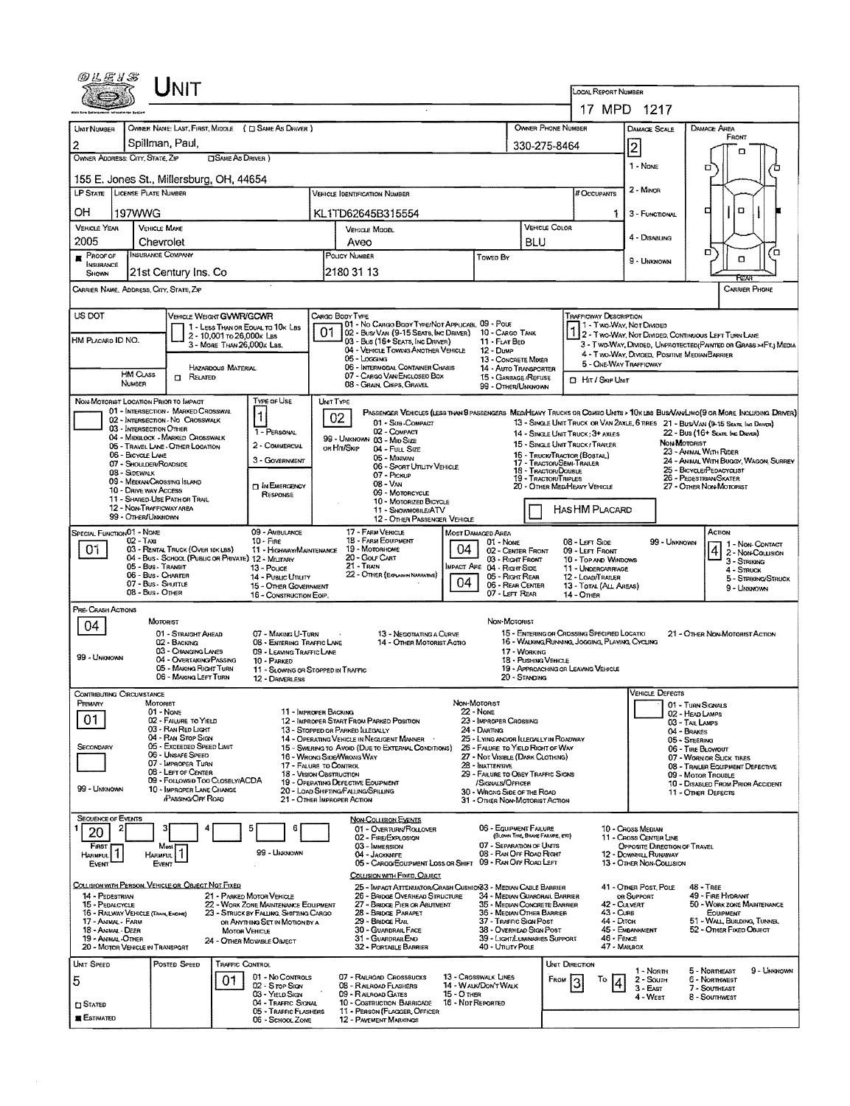| @LE1S                                                                                                                                                                                                 |                                                                                         |                                                                       |                           |                                                                                |    |                                                                                                          |                                         |                                                                                           |                                      |                              |                                                                                                |                                                                                          |                                      |                                                                                                                                                                                                                  |  |  |  |  |
|-------------------------------------------------------------------------------------------------------------------------------------------------------------------------------------------------------|-----------------------------------------------------------------------------------------|-----------------------------------------------------------------------|---------------------------|--------------------------------------------------------------------------------|----|----------------------------------------------------------------------------------------------------------|-----------------------------------------|-------------------------------------------------------------------------------------------|--------------------------------------|------------------------------|------------------------------------------------------------------------------------------------|------------------------------------------------------------------------------------------|--------------------------------------|------------------------------------------------------------------------------------------------------------------------------------------------------------------------------------------------------------------|--|--|--|--|
|                                                                                                                                                                                                       |                                                                                         |                                                                       |                           |                                                                                |    |                                                                                                          |                                         |                                                                                           |                                      |                              | LOCAL REPORT NUMBER<br>17 MPD 1217                                                             |                                                                                          |                                      |                                                                                                                                                                                                                  |  |  |  |  |
|                                                                                                                                                                                                       |                                                                                         |                                                                       |                           |                                                                                |    |                                                                                                          |                                         |                                                                                           |                                      |                              |                                                                                                |                                                                                          |                                      |                                                                                                                                                                                                                  |  |  |  |  |
| 2                                                                                                                                                                                                     | OWNER NAME: LAST, FIRST, MIDDLE ( E) SAME AS DRIVER )<br>Unit Number<br>Spillman, Paul, |                                                                       |                           |                                                                                |    |                                                                                                          |                                         |                                                                                           |                                      |                              |                                                                                                | OWNER PHONE NUMBER<br><b>DAMAGE AREA</b><br><b>DAMAGE SCALE</b><br>FRONT<br>330-275-8464 |                                      |                                                                                                                                                                                                                  |  |  |  |  |
| OWNER ADDRESS: CITY, STATE, ZIP<br><b>CISAME AS DRIVER</b> )                                                                                                                                          |                                                                                         |                                                                       |                           |                                                                                |    |                                                                                                          |                                         |                                                                                           |                                      |                              |                                                                                                | $\overline{2}$                                                                           | n                                    |                                                                                                                                                                                                                  |  |  |  |  |
| 155 E. Jones St., Millersburg, OH, 44654                                                                                                                                                              |                                                                                         |                                                                       |                           |                                                                                |    |                                                                                                          |                                         |                                                                                           |                                      |                              |                                                                                                | 1 - NONE                                                                                 | о                                    |                                                                                                                                                                                                                  |  |  |  |  |
| LP STATE LICENSE PLATE NUMBER<br>Vehicle Identification Number                                                                                                                                        |                                                                                         |                                                                       |                           |                                                                                |    |                                                                                                          |                                         |                                                                                           |                                      |                              |                                                                                                | 2 - Minor                                                                                |                                      |                                                                                                                                                                                                                  |  |  |  |  |
| ΟH<br>197WWG<br>KL1TD62645B315554                                                                                                                                                                     |                                                                                         |                                                                       |                           |                                                                                |    |                                                                                                          |                                         |                                                                                           |                                      |                              | 11                                                                                             | 3 - FUNCTIONAL                                                                           | о                                    | $\Box$                                                                                                                                                                                                           |  |  |  |  |
| <b>VEHICLE YEAR</b>                                                                                                                                                                                   | <b>VEHICLE MAKE</b>                                                                     |                                                                       |                           |                                                                                |    | VEHICLE MODEL                                                                                            |                                         |                                                                                           |                                      | VEHICLE COLOR                |                                                                                                |                                                                                          |                                      |                                                                                                                                                                                                                  |  |  |  |  |
| 2005                                                                                                                                                                                                  | Chevrolet                                                                               |                                                                       |                           |                                                                                |    | Aveo                                                                                                     | BLU                                     |                                                                                           |                                      | 4 - DISABLING                |                                                                                                |                                                                                          |                                      |                                                                                                                                                                                                                  |  |  |  |  |
| PROOF OF<br>INSURANCE<br>SHOWN                                                                                                                                                                        | <b>INSURANCE COMPANY</b>                                                                | 21st Century Ins. Co                                                  |                           |                                                                                |    | POUCY NUMBER<br>2180 31 13                                                                               |                                         |                                                                                           |                                      | 9 - UNKNOWN                  | σ                                                                                              | п<br>$\Box$<br>RFA                                                                       |                                      |                                                                                                                                                                                                                  |  |  |  |  |
| CARRIER NAME, ADDRESS, CITY, STATE, ZIP<br><b>CARRIER PHONE</b>                                                                                                                                       |                                                                                         |                                                                       |                           |                                                                                |    |                                                                                                          |                                         |                                                                                           |                                      |                              |                                                                                                |                                                                                          |                                      |                                                                                                                                                                                                                  |  |  |  |  |
| US DOT                                                                                                                                                                                                |                                                                                         | VEHICLE WEIGHT GWWR/GCWR                                              |                           |                                                                                |    | CARGO BODY TYPE                                                                                          |                                         |                                                                                           |                                      |                              | Trafficway Description                                                                         |                                                                                          |                                      |                                                                                                                                                                                                                  |  |  |  |  |
| HM PLACARD ID NO.                                                                                                                                                                                     |                                                                                         |                                                                       | 2 - 10,001 To 26,000k Las | 1 - LESS THAN OR EQUAL TO 10K LBS                                              | 01 | 01 - No CARGO BODY TYPE/NOT APPLICABL 09 - POLE<br>02 - Bus/Van (9-15 Seats, Inc Driver) 10 - Cargo Tank |                                         |                                                                                           |                                      |                              |                                                                                                | 1 - Two-Way, Nor Divideo<br>1 2 - TWO-WAY, NOT DIVIDED, CONTINUOUS LEFT TURN LANE        |                                      |                                                                                                                                                                                                                  |  |  |  |  |
|                                                                                                                                                                                                       |                                                                                         |                                                                       |                           | 3 - MORE THAN 26,000 K LBS.                                                    |    | 03 - Bus (16+ SEATS, INC DRIVER)<br>04 - VEHICLE TOWING ANOTHER VEHICLE                                  |                                         | 11 - FLAT BED<br>12 - Dump                                                                |                                      |                              |                                                                                                | 4 - Two-Way, DIVIDED, POSITIVE MEDIAN BARRIER                                            |                                      | 3 - T WO-WAY, DWDED, UNPROTECTED (PAINTED OR GRASS > FT.) MEDIA                                                                                                                                                  |  |  |  |  |
|                                                                                                                                                                                                       | <b>HM CLASS</b>                                                                         |                                                                       | <b>HAZARDOUS MATERIAL</b> |                                                                                |    | 05 - Locging<br>06 - INTERMODAL CONTAINER CHASIS<br>07 - CARGO VAN/ENGLOSED BOX                          |                                         | 13 - CONCRETE MIXER<br>14 - AUTO TRANSPORTER                                              |                                      |                              | 5 - ONE-WAY TRAFFICWAY                                                                         |                                                                                          |                                      |                                                                                                                                                                                                                  |  |  |  |  |
|                                                                                                                                                                                                       | <b>NUMBER</b>                                                                           | $\Box$ Related                                                        |                           |                                                                                |    | 08 - GRAIN, CHIPS, GRAVEL                                                                                |                                         | 15 - GARBAGE /REFUSE<br>99 - OTHER/UNKNOWN                                                |                                      |                              | <b>D</b> HIT / SKIP UNIT                                                                       |                                                                                          |                                      |                                                                                                                                                                                                                  |  |  |  |  |
| NON-MOTORIST LOCATION PRIOR TO IMPACT                                                                                                                                                                 |                                                                                         | 01 - INTERSECTION - MARKED CROSSWAL                                   |                           | TYPE OF USE                                                                    |    | UNIT TYPE                                                                                                |                                         |                                                                                           |                                      |                              |                                                                                                |                                                                                          |                                      |                                                                                                                                                                                                                  |  |  |  |  |
|                                                                                                                                                                                                       | 03 - INTERSECTION OTHER                                                                 | 02 - INTERSECTION - NO CROSSWALK                                      |                           | 1                                                                              |    | 02<br>01 - Sub-COMPACT                                                                                   |                                         |                                                                                           |                                      |                              |                                                                                                |                                                                                          |                                      | PASSENGER VEHICLES (LESS THAN 9 PASSENGERS MEDIMEAVY TRUCKS OR COMBO UNTS > 10K LBS BUS/VAMUMO(9 OR MORE INCLUDING DRIVER)<br>13 - SINGLE UNIT TRUCK OR VAN ZAXLE, 6 TIRES 21 - BUS/VAN (9-15 Seats, Inc DRIVER) |  |  |  |  |
|                                                                                                                                                                                                       |                                                                                         | 04 - MIDBLOCK - MARKED CROSSWALK<br>05 - TRAVEL LANE - OTHER LOCATION |                           | 1 - PERSONAL<br>2 - COMMERCIAL                                                 |    | 02 - Сомраст<br>99 - UNKNOWN 03 - MID SIZE                                                               |                                         |                                                                                           |                                      |                              | 14 - SINGLE LINT TRUCK: 3+ AXLES<br>15 - SINGLE UNIT TRUCK / TRAILER                           |                                                                                          | <b>NON-MOTORIST</b>                  | 22 - Bus (16+ Seats, Inc Driver)                                                                                                                                                                                 |  |  |  |  |
|                                                                                                                                                                                                       | 06 - BICYCLE LANE                                                                       |                                                                       |                           | 3 - GOVERNMENT                                                                 |    | OR HIT/SKIP<br>04 - Futt Size<br>05 - Minivan                                                            |                                         |                                                                                           |                                      | 16 - TRUCK/TRACTOR (BOSTAIL) |                                                                                                |                                                                                          | 23 - ANIMAL WITH RIDER               | 24 - ANIMAL WITH BUGGY, WAGON, SURREY                                                                                                                                                                            |  |  |  |  |
| 17 - TRACTOR/SEMI-TRAILER<br>07 - SHOULDER/ROADSIDE<br>06 - SPORT UNLITY VEHICLE<br>18 - TRACTOR/DOUBLE<br>08 - SLDEWALK<br>07 - Pickup<br><b>19 - TRACTOR/TRIPLES</b><br>09 - MEDIAN/CROSSING ISLAND |                                                                                         |                                                                       |                           |                                                                                |    |                                                                                                          |                                         |                                                                                           |                                      |                              |                                                                                                | 25 - BICYCLE/PEDACYCLIST<br>26 - PEOESTRIAN SKATER                                       |                                      |                                                                                                                                                                                                                  |  |  |  |  |
|                                                                                                                                                                                                       | 10 - DRIVE WAY ACCESS                                                                   |                                                                       |                           | <b>DIN EMERGENCY</b><br><b>RESPONSE</b>                                        |    | 08 - VAN<br>09 - MOTORCYCLE                                                                              |                                         | 20 - OTHER MEDIHEAVY VEHICLE                                                              | 27 - OTHER NON-MOTORIST              |                              |                                                                                                |                                                                                          |                                      |                                                                                                                                                                                                                  |  |  |  |  |
| 11 - SHARED-USE PATH OR TRAIL<br>10 - MOTORIZED BICYCLE<br>12 - NON-TRAFFICWAY AREA<br>HASHM PLACARD<br>11 - SNOWMOBILE/ATV<br>99 - Other/Unknown                                                     |                                                                                         |                                                                       |                           |                                                                                |    |                                                                                                          |                                         |                                                                                           |                                      |                              |                                                                                                |                                                                                          |                                      |                                                                                                                                                                                                                  |  |  |  |  |
| 12 - OTHER PASSENGER VEHICLE<br>SPECIAL FUNCTION 01 - NORE<br>09 - AMBULANCE<br>17 - FARM VEHICLE<br>ACTION<br>MOST DAMAGED AREA                                                                      |                                                                                         |                                                                       |                           |                                                                                |    |                                                                                                          |                                         |                                                                                           |                                      |                              |                                                                                                |                                                                                          |                                      |                                                                                                                                                                                                                  |  |  |  |  |
| $02 - T$ AXI<br>$10 -$ Fine<br>01<br>03 - RENTAL TRUCK (OVER 10K LBS)<br>11 - HIGHWAY/MAINTENANCE                                                                                                     |                                                                                         |                                                                       |                           |                                                                                |    | <b>18 - FARM EQUIPMENT</b><br>19 - Мотовноме                                                             | 01 - None<br>02 - CENTER FRONT          |                                                                                           | 08 - LEFT SIDE<br>09 - LEFT FRONT    | 99 - Unknown                 |                                                                                                | 1 - Non-Contact<br>$ 4 2$ - Non-Coursion                                                 |                                      |                                                                                                                                                                                                                  |  |  |  |  |
|                                                                                                                                                                                                       | 05 - Bus - Transit                                                                      | 04 - Bus - School (Public or Private) 12 - Milltary                   |                           | 13 - Pouce                                                                     |    | 20 - Gour CART<br>21 - TRAIN                                                                             |                                         | 03 - Right Front<br>MPACT ARE 04 - RIGHT SIDE                                             |                                      |                              | 10 - Top AND WINDOWS<br>11 - UNDERCARRIAGE                                                     |                                                                                          |                                      | 3 - STRIKING<br>4 - STRUCK                                                                                                                                                                                       |  |  |  |  |
|                                                                                                                                                                                                       | 06 - Bus - CHARTER<br>07 - Bus - SHUTTLE                                                |                                                                       |                           | 14 - Pusuc Unury<br>15 - OTHER GOVERNMENT                                      |    | 22 - OTHER (EXPLANDI NARRATIVE)                                                                          | 04                                      | 05 - Right Rear<br>06 - REAR CENTER                                                       |                                      |                              | 12 - LOAD/TRAILER<br>13 - TOTAL (ALL AREAS)                                                    |                                                                                          |                                      | 5 - STRIKING/STRUCK<br>9 - UNKNOWN                                                                                                                                                                               |  |  |  |  |
|                                                                                                                                                                                                       | 08 - Bus - OTHER                                                                        |                                                                       |                           | 16 - CONSTRUCTION EQIP.                                                        |    |                                                                                                          |                                         | 07 - LEFT REAR                                                                            |                                      |                              | 14 - Отнек                                                                                     |                                                                                          |                                      |                                                                                                                                                                                                                  |  |  |  |  |
| PRE-CRASH ACTIONS<br>04                                                                                                                                                                               | MOTORIST                                                                                |                                                                       |                           |                                                                                |    |                                                                                                          |                                         | NON-MOTORIST                                                                              |                                      |                              |                                                                                                |                                                                                          |                                      |                                                                                                                                                                                                                  |  |  |  |  |
|                                                                                                                                                                                                       |                                                                                         | 01 - STRAIGHT AHEAD<br>02 - BACKING                                   |                           | 07 - MAKING U-TURN<br>08 - ENTERING TRAFFIC LANE                               |    | 13 - NEGOTIATING A CURVE<br>14 - OTHER MOTORIST ACTIO                                                    |                                         |                                                                                           |                                      |                              | 15 - ENTERING OR CROSSING SPECIFIED LOCATIO<br>16 - WALKING RUNNING, JOGGING, PLAYING, CYCLING |                                                                                          |                                      | 21 - OTHER NON-MOTORIST ACTION                                                                                                                                                                                   |  |  |  |  |
| 99 - UNKNOWN                                                                                                                                                                                          |                                                                                         | 03 - CHANGING LANES<br>04 - OVERTAKING/PASSING                        |                           | 09 - LEAVING TRAFFIC LANE<br>10 - PARKED                                       |    |                                                                                                          |                                         |                                                                                           | 17 - WORKING<br>18 - PUSHING VEHICLE |                              |                                                                                                |                                                                                          |                                      |                                                                                                                                                                                                                  |  |  |  |  |
|                                                                                                                                                                                                       |                                                                                         | 05 - MAKING RIGHT TURN<br>06 - MAKING LEFT TURN                       |                           | 11 - SLOWING OR STOPPED IN TRAFFIC<br>12 - DAMERLESS                           |    |                                                                                                          |                                         |                                                                                           | 20 - STANDING                        |                              | 19 - APPROACHING OR LEAVING VEHICLE                                                            |                                                                                          |                                      |                                                                                                                                                                                                                  |  |  |  |  |
| CONTRIBUTING CIRCUMSTANCE                                                                                                                                                                             |                                                                                         |                                                                       |                           |                                                                                |    |                                                                                                          |                                         |                                                                                           |                                      |                              |                                                                                                | <b>VEHICLE DEFECTS</b>                                                                   |                                      |                                                                                                                                                                                                                  |  |  |  |  |
| Primary                                                                                                                                                                                               | MOTORIST<br>$01 - None$                                                                 |                                                                       |                           | 11 - IMPROPER BACKING                                                          |    |                                                                                                          |                                         | NON MOTORIST<br><b>22 - None</b>                                                          |                                      |                              |                                                                                                |                                                                                          | 01 - TURN SIGNALS<br>02 - HEAD LAMPS |                                                                                                                                                                                                                  |  |  |  |  |
| 01                                                                                                                                                                                                    |                                                                                         | 02 - FAILURE TO YIELD<br>03 - RAN RED LIGHT                           |                           |                                                                                |    | 12 - IMPROPER START FROM PARKED POSITION<br>13 - Stopped or PARKED LLEGALLY                              | 23 - IMPROPER CROSSING<br>24 - DARTING  |                                                                                           |                                      |                              |                                                                                                |                                                                                          | 03 - TAIL LAMPS<br>04 - BRAKES       |                                                                                                                                                                                                                  |  |  |  |  |
| SECONDARY                                                                                                                                                                                             |                                                                                         | 04 - RAN STOP SIGN<br>05 - EXCEEDED SPEED LIMIT                       |                           |                                                                                |    | 14 - Operating Vehicle in Negligent Manner<br>15 - Swering to Avoid (Due to External Conditions)         |                                         | 25 - LYING AND/OR ILLEGALLY IN ROADWAY<br>26 - FALURE TO YIELD RIGHT OF WAY               |                                      |                              |                                                                                                |                                                                                          | 05 - STEERING<br>06 - TIRE BLOWOUT   |                                                                                                                                                                                                                  |  |  |  |  |
|                                                                                                                                                                                                       |                                                                                         | 06 - UNSAFE SPEED<br>07 - IMPROPER TURN                               |                           | 17 - FALURE TO CONTROL                                                         |    | 16 - WRONG SIDE/WRONG WAY                                                                                |                                         | 27 - NOT VISIBLE (DARK CLOTHING)<br>28 - INATTENTIVE                                      |                                      |                              |                                                                                                |                                                                                          |                                      | 07 - WORN OR SUCK TIRES<br>08 - TRAILER EQUIPMENT DEFECTIVE                                                                                                                                                      |  |  |  |  |
|                                                                                                                                                                                                       |                                                                                         | 08 - LEFT OF CENTER<br>09 - FOLLOWED TOO CLOSELY/ACDA                 |                           | <b>18 - VISION OBSTRUCTION</b>                                                 |    | 19 - OPERATING DEFECTIVE EQUIPMENT                                                                       |                                         | 29 - FAILURE TO OBEY TRAFFIC SIGNS<br>/Signaus/Officer                                    |                                      |                              | 09 - MOTOR TROUBLE<br>10 - DISABLED FROM PRIOR ACCIDENT                                        |                                                                                          |                                      |                                                                                                                                                                                                                  |  |  |  |  |
| 99 - UNKNOWN                                                                                                                                                                                          |                                                                                         | 10 - IMPROPER LANE CHANGE<br>PASSING OFF ROAD                         |                           |                                                                                |    | 20 - LOAD SHIFTING/FALUNG/SPILLING<br>21 - Other Improper Action                                         |                                         | 30 - Wrong Side of the Road<br>31 - OTHER NON-MOTORIST ACTION                             |                                      |                              |                                                                                                |                                                                                          | 11 - Other Defects                   |                                                                                                                                                                                                                  |  |  |  |  |
| <b>SEQUENCE OF EVENTS</b>                                                                                                                                                                             |                                                                                         |                                                                       |                           |                                                                                |    | NON-COLLISION EVENTS                                                                                     |                                         |                                                                                           |                                      |                              |                                                                                                |                                                                                          |                                      |                                                                                                                                                                                                                  |  |  |  |  |
| 20                                                                                                                                                                                                    |                                                                                         |                                                                       |                           |                                                                                |    | 01 - Overturn/Rollover<br>02 - FIRE/EXPLOSION                                                            |                                         | 06 - EQUIPMENT FAILURE                                                                    | (BLOWN TIRE, BRAKE FAILURE, ETC)     |                              |                                                                                                | <b>10 - Choss Median</b><br>11 - Cross CENTER LINE                                       |                                      |                                                                                                                                                                                                                  |  |  |  |  |
| FIRST<br>1<br><b>MARMFUL</b>                                                                                                                                                                          | Most<br>Harliful                                                                        |                                                                       |                           | 99 - Unknown                                                                   |    | 03 - IMMERSION<br>04 - Jackknife                                                                         |                                         | 07 - SEPARATION OF UNITS<br>08 - RAN OFF ROAD RIGHT                                       |                                      |                              |                                                                                                | OPPOSITE DIRECTION OF TRAVEL<br>12 - DOWNHILL RUNAWAY                                    |                                      |                                                                                                                                                                                                                  |  |  |  |  |
| EVENT                                                                                                                                                                                                 | EVENT                                                                                   |                                                                       |                           |                                                                                |    | 05 - CARGO/EOUPMENT LOSS OR SHIFT 09 - RAN OFF ROAD LEFT<br>COLUSION WITH FIXED, OBJECT                  |                                         |                                                                                           |                                      |                              |                                                                                                | 13 - OTHER NON-COLLISION                                                                 |                                      |                                                                                                                                                                                                                  |  |  |  |  |
| COLLISION WITH PERSON, VEHICLE OR OBJECT NOT FIXED                                                                                                                                                    |                                                                                         |                                                                       |                           | 21 - PARKED MOTOR VEHICLE                                                      |    | 25 - IMPACT ATTENUATOR/CRASH CUSHIO/83 - MEDIAN CABLE BARRIER                                            |                                         |                                                                                           |                                      |                              |                                                                                                | 41 - OTHER POST, POLE                                                                    | $48 - T$ REE                         | 49 - FIRE HYDRANT                                                                                                                                                                                                |  |  |  |  |
| 14 - PEDESTRIAN<br>15 - PEDALCYCLE<br><b>16 - RAILWAY VEHICLE (TRAIN, ENGINE)</b>                                                                                                                     |                                                                                         |                                                                       |                           | 22 - WORK ZONE MAINTENANCE EQUIPMENT<br>23 - STRUCK BY FALLING, SHIFTING CARGO |    | 26 - BRIDGE OVERHEAD STRUCTURE<br>27 - BRIDGE PIER OR ABUTMENT<br>28 - BRIDGE PARAPET                    |                                         | 34 - Median Guardral Barrier<br>35 - Median Concrete Barrier<br>36 - MEDIAN OTHER BARRIER |                                      |                              | 42 - CULVERT<br>43 - Curs                                                                      | OR SUPPORT                                                                               |                                      | 50 - WORK ZONE MAINTENANCE<br>EQUIPMENT                                                                                                                                                                          |  |  |  |  |
| 17 - Animal - Farm<br>18 - Animal - Deer                                                                                                                                                              |                                                                                         |                                                                       | <b>MOTOR VEHICLE</b>      | OR ANYTHING SET IN MOTION BY A                                                 |    | 29 - BRIDGE RAIL<br>30 - GUARDRAIL FACE                                                                  |                                         | 37 - TRAFFIC SIGN POST<br>38 - OVERHEAD SIGN POST                                         |                                      |                              | 44 - Олон                                                                                      | 45 - EMBANKMENT                                                                          |                                      | 51 - WALL BUILDING, TUNNEL<br>52 - OTHER FIXED OBJECT                                                                                                                                                            |  |  |  |  |
| 19 - ANIMAL-OTHER<br>20 - MOTOR VEHICLE IN TRANSPORT                                                                                                                                                  |                                                                                         |                                                                       |                           | 24 - OTHER MOVABLE OBJECT                                                      |    | 31 - GUARDRAILEND<br>32 - PORTABLE BARRIER                                                               |                                         | 39 - LIGHT/LUMINARIES SUPPORT<br>40 - Unury Pole                                          |                                      |                              | 46 - Fence<br>47 - MAILBOX                                                                     |                                                                                          |                                      |                                                                                                                                                                                                                  |  |  |  |  |
| UMT SPEED                                                                                                                                                                                             |                                                                                         | Posted Speed                                                          | TRAFFIC CONTROL           |                                                                                |    |                                                                                                          |                                         |                                                                                           |                                      | UNIT DIRECTION               |                                                                                                |                                                                                          |                                      |                                                                                                                                                                                                                  |  |  |  |  |
| 5                                                                                                                                                                                                     |                                                                                         |                                                                       | 01                        | 01 - No Controls<br>02 - S rop Ston                                            |    | 07 - RAILBOAD CROSSBUCKS<br>08 - RAILROAD FLASHERS                                                       |                                         | 13 - CROSSWALK LINES<br>14 - WALK/DON'T WALK                                              |                                      | FROM<br>3                    | То                                                                                             | 1 - Noam<br>2 - South                                                                    |                                      | 9 - UNKNOWN<br>5 - NORTHEAST<br><b>6 - NORTHWEST</b>                                                                                                                                                             |  |  |  |  |
|                                                                                                                                                                                                       |                                                                                         |                                                                       |                           | 03 - YiELD Sign<br>04 - Traffic Signal                                         |    | 09 - RAILROAD GATES<br>10 - COSTRUCTION BARRICADE                                                        | <b>15 - O THER</b><br>16 - Not Reported |                                                                                           |                                      |                              |                                                                                                | $3 - EAST$<br>4 - WEST                                                                   |                                      | 7 - SOUTHEAST<br>8 - Southmest                                                                                                                                                                                   |  |  |  |  |
| ⊡ Stated<br><b>E</b> STIMATED                                                                                                                                                                         |                                                                                         |                                                                       |                           | 05 - TRAFFIC FLASHERS<br>06 - SCHOOL ZONE                                      |    | 11 - PERSON (FLAGGER, OFFICER<br>12 - PAVEMENT MARKINGS                                                  |                                         |                                                                                           |                                      |                              |                                                                                                |                                                                                          |                                      |                                                                                                                                                                                                                  |  |  |  |  |
|                                                                                                                                                                                                       |                                                                                         |                                                                       |                           |                                                                                |    |                                                                                                          |                                         |                                                                                           |                                      |                              |                                                                                                |                                                                                          |                                      |                                                                                                                                                                                                                  |  |  |  |  |